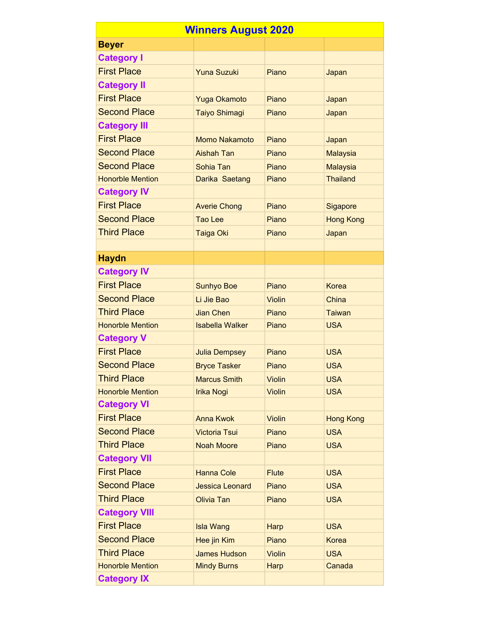| <b>Winners August 2020</b> |                        |               |                  |  |  |
|----------------------------|------------------------|---------------|------------------|--|--|
| <b>Beyer</b>               |                        |               |                  |  |  |
| <b>Category I</b>          |                        |               |                  |  |  |
| <b>First Place</b>         | <b>Yuna Suzuki</b>     | Piano         | Japan            |  |  |
| <b>Category II</b>         |                        |               |                  |  |  |
| <b>First Place</b>         | <b>Yuga Okamoto</b>    | Piano         | Japan            |  |  |
| <b>Second Place</b>        | <b>Taiyo Shimagi</b>   | Piano         | Japan            |  |  |
| <b>Category III</b>        |                        |               |                  |  |  |
| <b>First Place</b>         | <b>Momo Nakamoto</b>   | Piano         | Japan            |  |  |
| <b>Second Place</b>        | <b>Aishah Tan</b>      | Piano         | <b>Malaysia</b>  |  |  |
| <b>Second Place</b>        | Sohia Tan              | Piano         | <b>Malaysia</b>  |  |  |
| <b>Honorble Mention</b>    | Darika Saetang         | Piano         | <b>Thailand</b>  |  |  |
| <b>Category IV</b>         |                        |               |                  |  |  |
| <b>First Place</b>         | <b>Averie Chong</b>    | Piano         | Sigapore         |  |  |
| <b>Second Place</b>        | <b>Tao Lee</b>         | Piano         | <b>Hong Kong</b> |  |  |
| <b>Third Place</b>         | <b>Taiga Oki</b>       | Piano         | Japan            |  |  |
|                            |                        |               |                  |  |  |
| <b>Haydn</b>               |                        |               |                  |  |  |
| <b>Category IV</b>         |                        |               |                  |  |  |
| <b>First Place</b>         | <b>Sunhyo Boe</b>      | Piano         | <b>Korea</b>     |  |  |
| <b>Second Place</b>        | Li Jie Bao             | Violin        | China            |  |  |
| <b>Third Place</b>         | <b>Jian Chen</b>       | Piano         | <b>Taiwan</b>    |  |  |
| <b>Honorble Mention</b>    | <b>Isabella Walker</b> | Piano         | <b>USA</b>       |  |  |
| <b>Category V</b>          |                        |               |                  |  |  |
| <b>First Place</b>         | <b>Julia Dempsey</b>   | Piano         | <b>USA</b>       |  |  |
| <b>Second Place</b>        | <b>Bryce Tasker</b>    | Piano         | <b>USA</b>       |  |  |
| <b>Third Place</b>         | <b>Marcus Smith</b>    | <b>Violin</b> | <b>USA</b>       |  |  |
| <b>Honorble Mention</b>    | <b>Irika Nogi</b>      | <b>Violin</b> | <b>USA</b>       |  |  |
| <b>Category VI</b>         |                        |               |                  |  |  |
| <b>First Place</b>         | <b>Anna Kwok</b>       | Violin        | <b>Hong Kong</b> |  |  |
| <b>Second Place</b>        | <b>Victoria Tsui</b>   | Piano         | <b>USA</b>       |  |  |
| <b>Third Place</b>         | <b>Noah Moore</b>      | Piano         | <b>USA</b>       |  |  |
| <b>Category VII</b>        |                        |               |                  |  |  |
| <b>First Place</b>         | <b>Hanna Cole</b>      | <b>Flute</b>  | <b>USA</b>       |  |  |
| <b>Second Place</b>        | <b>Jessica Leonard</b> | Piano         | <b>USA</b>       |  |  |
| <b>Third Place</b>         | <b>Olivia Tan</b>      | Piano         | <b>USA</b>       |  |  |
| <b>Category VIII</b>       |                        |               |                  |  |  |
| <b>First Place</b>         | <b>Isla Wang</b>       | Harp          | <b>USA</b>       |  |  |
| <b>Second Place</b>        | Hee jin Kim            | Piano         | <b>Korea</b>     |  |  |
| <b>Third Place</b>         | <b>James Hudson</b>    | <b>Violin</b> | <b>USA</b>       |  |  |
| <b>Honorble Mention</b>    | <b>Mindy Burns</b>     | Harp          | Canada           |  |  |
| <b>Category IX</b>         |                        |               |                  |  |  |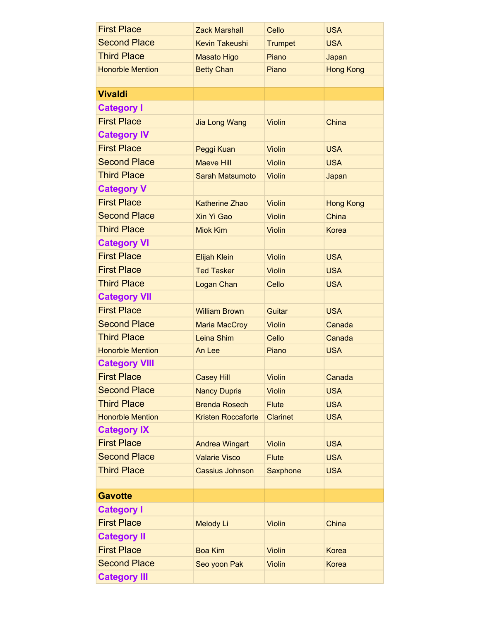| <b>First Place</b>      | <b>Zack Marshall</b>      | Cello           | <b>USA</b>       |
|-------------------------|---------------------------|-----------------|------------------|
| <b>Second Place</b>     | <b>Kevin Takeushi</b>     | <b>Trumpet</b>  | <b>USA</b>       |
| <b>Third Place</b>      | <b>Masato Higo</b>        | Piano           | Japan            |
| <b>Honorble Mention</b> | <b>Betty Chan</b>         | Piano           | <b>Hong Kong</b> |
|                         |                           |                 |                  |
| <b>Vivaldi</b>          |                           |                 |                  |
| <b>Category I</b>       |                           |                 |                  |
| <b>First Place</b>      | <b>Jia Long Wang</b>      | <b>Violin</b>   | China            |
| <b>Category IV</b>      |                           |                 |                  |
| <b>First Place</b>      | Peggi Kuan                | <b>Violin</b>   | <b>USA</b>       |
| <b>Second Place</b>     | <b>Maeve Hill</b>         | <b>Violin</b>   | <b>USA</b>       |
| <b>Third Place</b>      | <b>Sarah Matsumoto</b>    | <b>Violin</b>   | Japan            |
| <b>Category V</b>       |                           |                 |                  |
| <b>First Place</b>      | <b>Katherine Zhao</b>     | <b>Violin</b>   | <b>Hong Kong</b> |
| <b>Second Place</b>     | Xin Yi Gao                | Violin          | China            |
| <b>Third Place</b>      | <b>Miok Kim</b>           | <b>Violin</b>   | <b>Korea</b>     |
| <b>Category VI</b>      |                           |                 |                  |
| <b>First Place</b>      | <b>Elijah Klein</b>       | <b>Violin</b>   | <b>USA</b>       |
| <b>First Place</b>      | <b>Ted Tasker</b>         | <b>Violin</b>   | <b>USA</b>       |
| <b>Third Place</b>      | Logan Chan                | Cello           | <b>USA</b>       |
| <b>Category VII</b>     |                           |                 |                  |
| <b>First Place</b>      | <b>William Brown</b>      | Guitar          | <b>USA</b>       |
| <b>Second Place</b>     | <b>Maria MacCroy</b>      | <b>Violin</b>   | Canada           |
| <b>Third Place</b>      | Leina Shim                | Cello           | Canada           |
| <b>Honorble Mention</b> | An Lee                    | Piano           | <b>USA</b>       |
| <b>Category VIII</b>    |                           |                 |                  |
| <b>First Place</b>      | <b>Casey Hill</b>         | <b>Violin</b>   | Canada           |
| <b>Second Place</b>     | <b>Nancy Dupris</b>       | <b>Violin</b>   | <b>USA</b>       |
| <b>Third Place</b>      | <b>Brenda Rosech</b>      | <b>Flute</b>    | <b>USA</b>       |
| <b>Honorble Mention</b> | <b>Kristen Roccaforte</b> | <b>Clarinet</b> | <b>USA</b>       |
| <b>Category IX</b>      |                           |                 |                  |
| <b>First Place</b>      | <b>Andrea Wingart</b>     | <b>Violin</b>   | <b>USA</b>       |
| <b>Second Place</b>     | <b>Valarie Visco</b>      | <b>Flute</b>    | <b>USA</b>       |
| <b>Third Place</b>      | <b>Cassius Johnson</b>    | Saxphone        | <b>USA</b>       |
|                         |                           |                 |                  |
| <b>Gavotte</b>          |                           |                 |                  |
| <b>Category I</b>       |                           |                 |                  |
| <b>First Place</b>      | Melody Li                 | <b>Violin</b>   | China            |
| <b>Category II</b>      |                           |                 |                  |
| <b>First Place</b>      | <b>Boa Kim</b>            | <b>Violin</b>   | <b>Korea</b>     |
| <b>Second Place</b>     | Seo yoon Pak              | <b>Violin</b>   | <b>Korea</b>     |
| <b>Category III</b>     |                           |                 |                  |